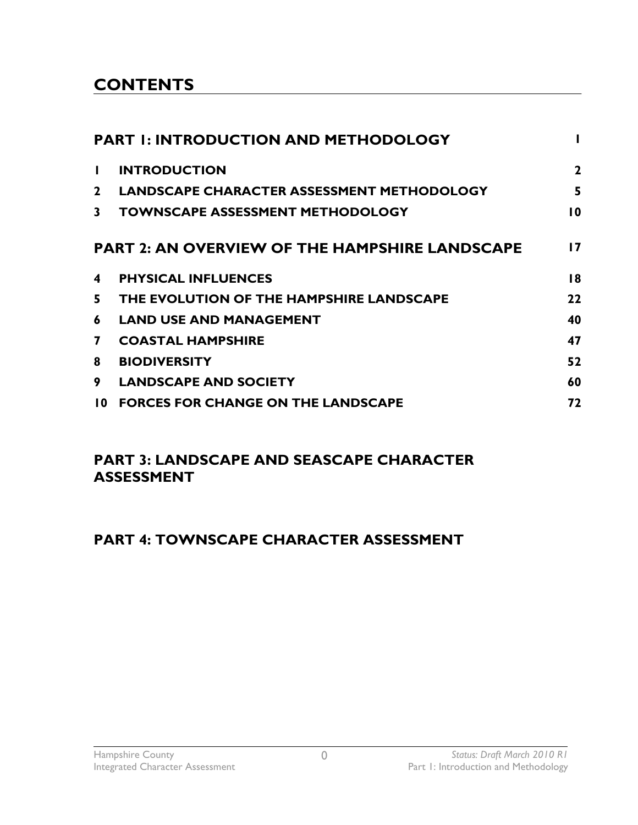## **CONTENTS**

| <b>PART I: INTRODUCTION AND METHODOLOGY</b> |                                                       |                 |  |
|---------------------------------------------|-------------------------------------------------------|-----------------|--|
| H.                                          | <b>INTRODUCTION</b>                                   | $\overline{2}$  |  |
| $\mathbf{2}$                                | <b>LANDSCAPE CHARACTER ASSESSMENT METHODOLOGY</b>     | 5               |  |
| 3                                           | <b>TOWNSCAPE ASSESSMENT METHODOLOGY</b>               | $\overline{10}$ |  |
|                                             | <b>PART 2: AN OVERVIEW OF THE HAMPSHIRE LANDSCAPE</b> | 17              |  |
| 4                                           | <b>PHYSICAL INFLUENCES</b>                            | 18              |  |
| 5.                                          | THE EVOLUTION OF THE HAMPSHIRE LANDSCAPE              | 22              |  |
| 6                                           | <b>LAND USE AND MANAGEMENT</b>                        | 40              |  |
| 7                                           | <b>COASTAL HAMPSHIRE</b>                              | 47              |  |
| 8                                           | <b>BIODIVERSITY</b>                                   | 52              |  |
| 9                                           | <b>LANDSCAPE AND SOCIETY</b>                          | 60              |  |
| 10.                                         | <b>FORCES FOR CHANGE ON THE LANDSCAPE</b>             | 72              |  |

### **PART 3: LANDSCAPE AND SEASCAPE CHARACTER ASSESSMENT**

## **PART 4: TOWNSCAPE CHARACTER ASSESSMENT**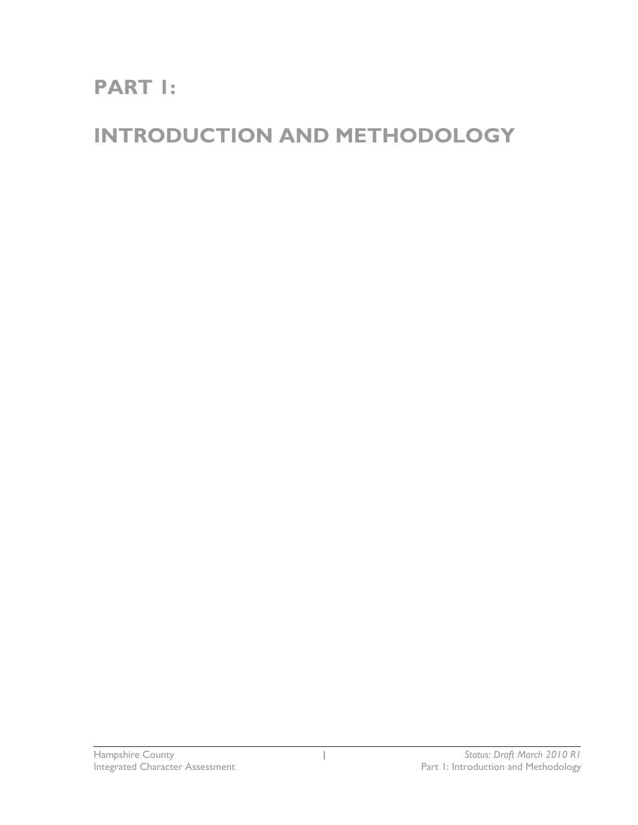# **PART 1:**

# **INTRODUCTION AND METHODOLOGY**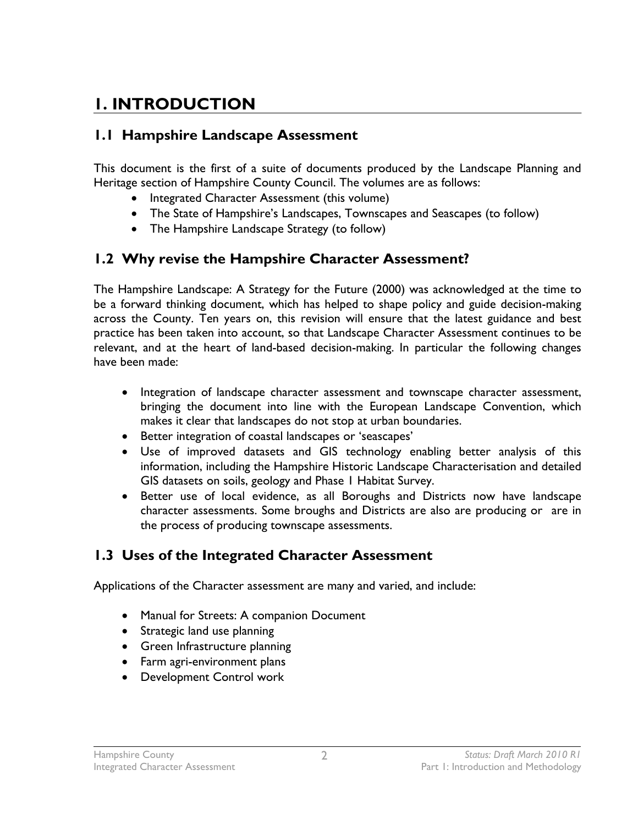## **1. INTRODUCTION**

### **1.1 Hampshire Landscape Assessment**

This document is the first of a suite of documents produced by the Landscape Planning and Heritage section of Hampshire County Council. The volumes are as follows:

- Integrated Character Assessment (this volume)
- The State of Hampshire's Landscapes, Townscapes and Seascapes (to follow)
- The Hampshire Landscape Strategy (to follow)

### **1.2 Why revise the Hampshire Character Assessment?**

The Hampshire Landscape: A Strategy for the Future (2000) was acknowledged at the time to be a forward thinking document, which has helped to shape policy and guide decision-making across the County. Ten years on, this revision will ensure that the latest guidance and best practice has been taken into account, so that Landscape Character Assessment continues to be relevant, and at the heart of land-based decision-making. In particular the following changes have been made:

- Integration of landscape character assessment and townscape character assessment, bringing the document into line with the European Landscape Convention, which makes it clear that landscapes do not stop at urban boundaries.
- Better integration of coastal landscapes or 'seascapes'
- Use of improved datasets and GIS technology enabling better analysis of this information, including the Hampshire Historic Landscape Characterisation and detailed GIS datasets on soils, geology and Phase 1 Habitat Survey.
- Better use of local evidence, as all Boroughs and Districts now have landscape character assessments. Some broughs and Districts are also are producing or are in the process of producing townscape assessments.

## **1.3 Uses of the Integrated Character Assessment**

Applications of the Character assessment are many and varied, and include:

- Manual for Streets: A companion Document
- Strategic land use planning
- Green Infrastructure planning
- Farm agri-environment plans
- Development Control work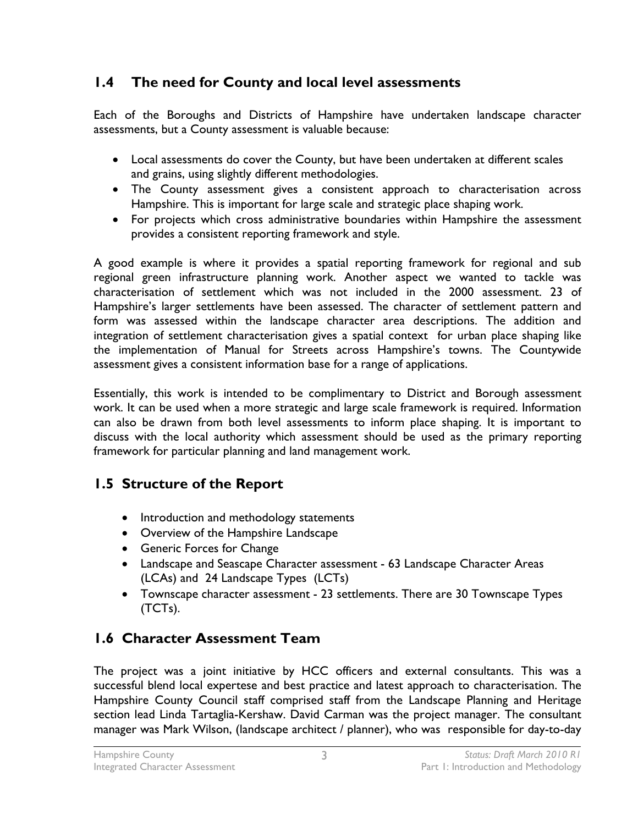## **1.4 The need for County and local level assessments**

Each of the Boroughs and Districts of Hampshire have undertaken landscape character assessments, but a County assessment is valuable because:

- Local assessments do cover the County, but have been undertaken at different scales and grains, using slightly different methodologies.
- The County assessment gives a consistent approach to characterisation across Hampshire. This is important for large scale and strategic place shaping work.
- For projects which cross administrative boundaries within Hampshire the assessment provides a consistent reporting framework and style.

A good example is where it provides a spatial reporting framework for regional and sub regional green infrastructure planning work. Another aspect we wanted to tackle was characterisation of settlement which was not included in the 2000 assessment. 23 of Hampshire's larger settlements have been assessed. The character of settlement pattern and form was assessed within the landscape character area descriptions. The addition and integration of settlement characterisation gives a spatial context for urban place shaping like the implementation of Manual for Streets across Hampshire's towns. The Countywide assessment gives a consistent information base for a range of applications.

Essentially, this work is intended to be complimentary to District and Borough assessment work. It can be used when a more strategic and large scale framework is required. Information can also be drawn from both level assessments to inform place shaping. It is important to discuss with the local authority which assessment should be used as the primary reporting framework for particular planning and land management work.

## **1.5 Structure of the Report**

- Introduction and methodology statements
- Overview of the Hampshire Landscape
- Generic Forces for Change
- Landscape and Seascape Character assessment 63 Landscape Character Areas (LCAs) and 24 Landscape Types (LCTs)
- Townscape character assessment 23 settlements. There are 30 Townscape Types (TCTs).

## **1.6 Character Assessment Team**

The project was a joint initiative by HCC officers and external consultants. This was a successful blend local expertese and best practice and latest approach to characterisation. The Hampshire County Council staff comprised staff from the Landscape Planning and Heritage section lead Linda Tartaglia-Kershaw. David Carman was the project manager. The consultant manager was Mark Wilson, (landscape architect / planner), who was responsible for day-to-day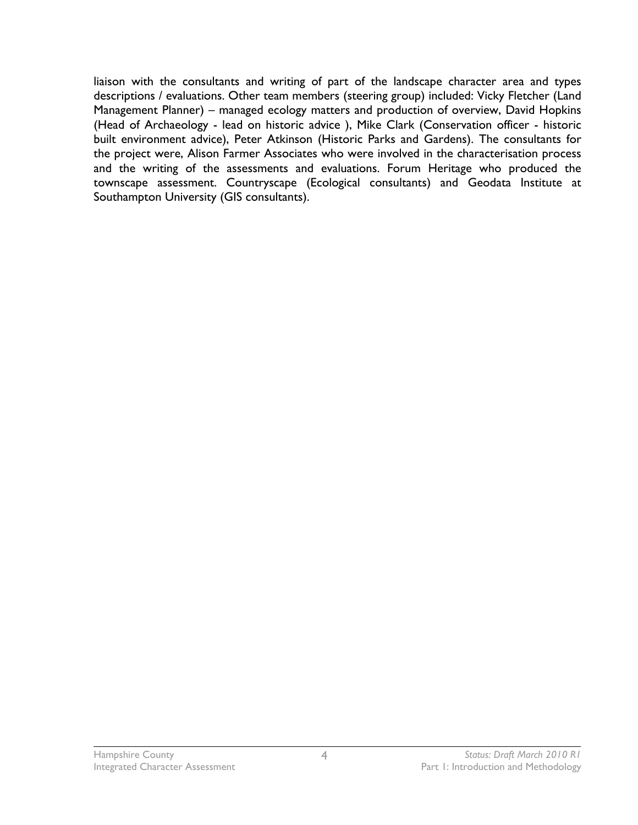liaison with the consultants and writing of part of the landscape character area and types descriptions / evaluations. Other team members (steering group) included: Vicky Fletcher (Land Management Planner) – managed ecology matters and production of overview, David Hopkins (Head of Archaeology - lead on historic advice ), Mike Clark (Conservation officer - historic built environment advice), Peter Atkinson (Historic Parks and Gardens). The consultants for the project were, Alison Farmer Associates who were involved in the characterisation process and the writing of the assessments and evaluations. Forum Heritage who produced the townscape assessment. Countryscape (Ecological consultants) and Geodata Institute at Southampton University (GIS consultants).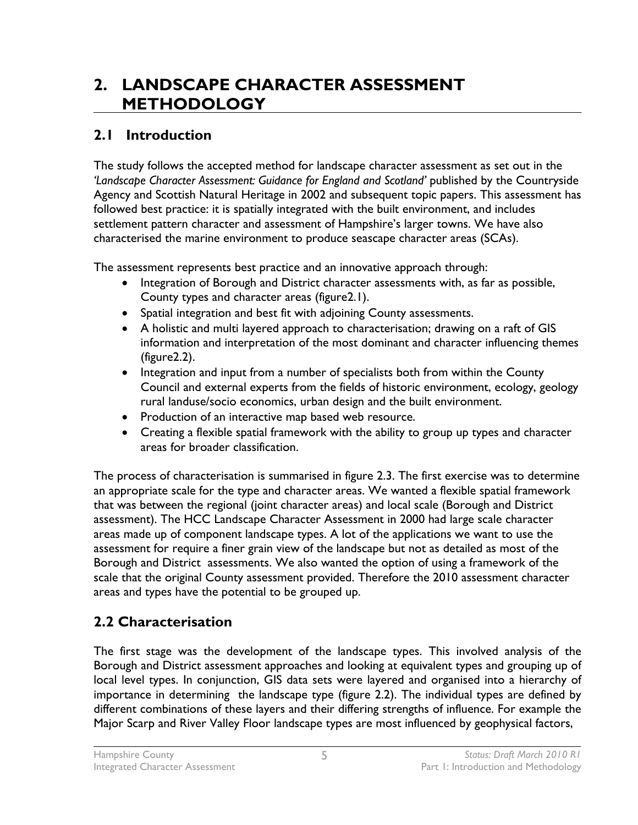## **2. LANDSCAPE CHARACTER ASSESSMENT METHODOLOGY**

## **2.1 Introduction**

The study follows the accepted method for landscape character assessment as set out in the 'Landscape Character Assessment: Guidance for England and Scotland' published by the Countryside Agency and Scottish Natural Heritage in 2002 and subsequent topic papers. This assessment has followed best practice: it is spatially integrated with the built environment, and includes settlement pattern character and assessment of Hampshire's larger towns. We have also characterised the marine environment to produce seascape character areas (SCAs).

The assessment represents best practice and an innovative approach through:

- Integration of Borough and District character assessments with, as far as possible, County types and character areas (figure2.1).
- Spatial integration and best fit with adjoining County assessments.
- A holistic and multi layered approach to characterisation; drawing on a raft of GIS information and interpretation of the most dominant and character influencing themes (figure2.2).
- Integration and input from a number of specialists both from within the County Council and external experts from the fields of historic environment, ecology, geology rural landuse/socio economics, urban design and the built environment.
- Production of an interactive map based web resource.
- Creating a flexible spatial framework with the ability to group up types and character areas for broader classification.

The process of characterisation is summarised in figure 2.3. The first exercise was to determine an appropriate scale for the type and character areas. We wanted a flexible spatial framework that was between the regional (joint character areas) and local scale (Borough and District assessment). The HCC Landscape Character Assessment in 2000 had large scale character areas made up of component landscape types. A lot of the applications we want to use the assessment for require a finer grain view of the landscape but not as detailed as most of the Borough and District assessments. We also wanted the option of using a framework of the scale that the original County assessment provided. Therefore the 2010 assessment character areas and types have the potential to be grouped up.

## **2.2 Characterisation**

The first stage was the development of the landscape types. This involved analysis of the Borough and District assessment approaches and looking at equivalent types and grouping up of local level types. In conjunction, GIS data sets were layered and organised into a hierarchy of importance in determining the landscape type (figure 2.2). The individual types are defined by different combinations of these layers and their differing strengths of influence. For example the Major Scarp and River Valley Floor landscape types are most influenced by geophysical factors,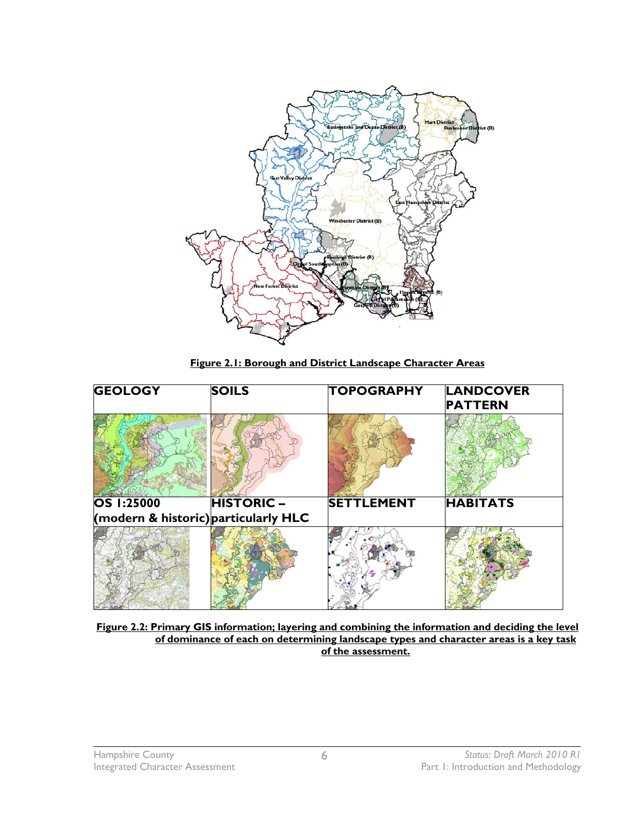

**Figure 2.1: Borough and District Landscape Character Areas**

| <b>GEOLOGY</b>                       | <b>SOILS</b>     | <b>TOPOGRAPHY</b> | <b>LANDCOVER</b><br><b>PATTERN</b> |
|--------------------------------------|------------------|-------------------|------------------------------------|
|                                      |                  |                   |                                    |
| OS 1:25000                           | <b>HISTORIC-</b> | <b>SETTLEMENT</b> | <b>HABITATS</b>                    |
| (modern & historic) particularly HLC |                  |                   |                                    |
|                                      |                  |                   |                                    |

**Figure 2.2: Primary GIS information; layering and combining the information and deciding the level of dominance of each on determining landscape types and character areas is a key task of the assessment.**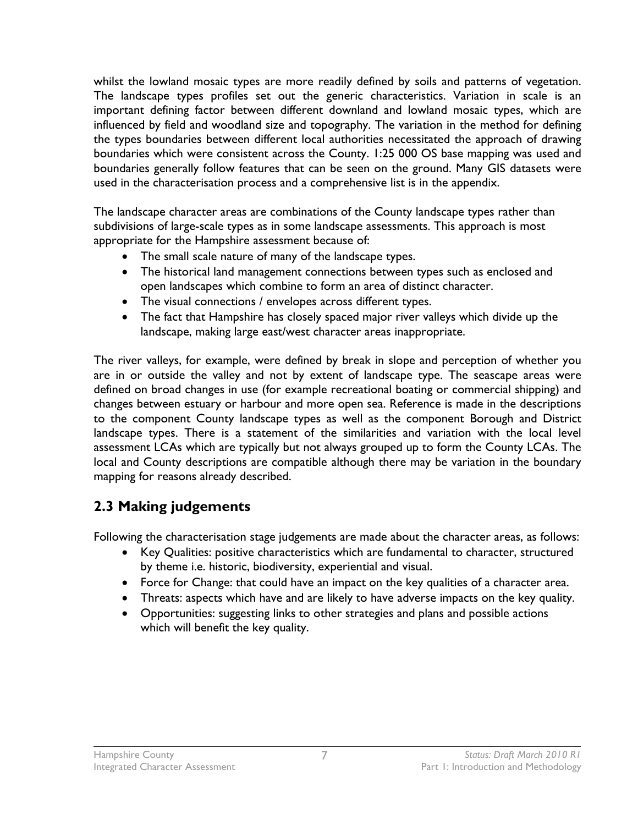whilst the lowland mosaic types are more readily defined by soils and patterns of vegetation. The landscape types profiles set out the generic characteristics. Variation in scale is an important defining factor between different downland and lowland mosaic types, which are influenced by field and woodland size and topography. The variation in the method for defining the types boundaries between different local authorities necessitated the approach of drawing boundaries which were consistent across the County. 1:25 000 OS base mapping was used and boundaries generally follow features that can be seen on the ground. Many GIS datasets were used in the characterisation process and a comprehensive list is in the appendix.

The landscape character areas are combinations of the County landscape types rather than subdivisions of large-scale types as in some landscape assessments. This approach is most appropriate for the Hampshire assessment because of:

- The small scale nature of many of the landscape types.
- The historical land management connections between types such as enclosed and open landscapes which combine to form an area of distinct character.
- The visual connections / envelopes across different types.
- The fact that Hampshire has closely spaced major river valleys which divide up the landscape, making large east/west character areas inappropriate.

The river valleys, for example, were defined by break in slope and perception of whether you are in or outside the valley and not by extent of landscape type. The seascape areas were defined on broad changes in use (for example recreational boating or commercial shipping) and changes between estuary or harbour and more open sea. Reference is made in the descriptions to the component County landscape types as well as the component Borough and District landscape types. There is a statement of the similarities and variation with the local level assessment LCAs which are typically but not always grouped up to form the County LCAs. The local and County descriptions are compatible although there may be variation in the boundary mapping for reasons already described.

## **2.3 Making judgements**

Following the characterisation stage judgements are made about the character areas, as follows:

- Key Qualities: positive characteristics which are fundamental to character, structured by theme i.e. historic, biodiversity, experiential and visual.
- Force for Change: that could have an impact on the key qualities of a character area.
- Threats: aspects which have and are likely to have adverse impacts on the key quality.
- Opportunities: suggesting links to other strategies and plans and possible actions which will benefit the key quality.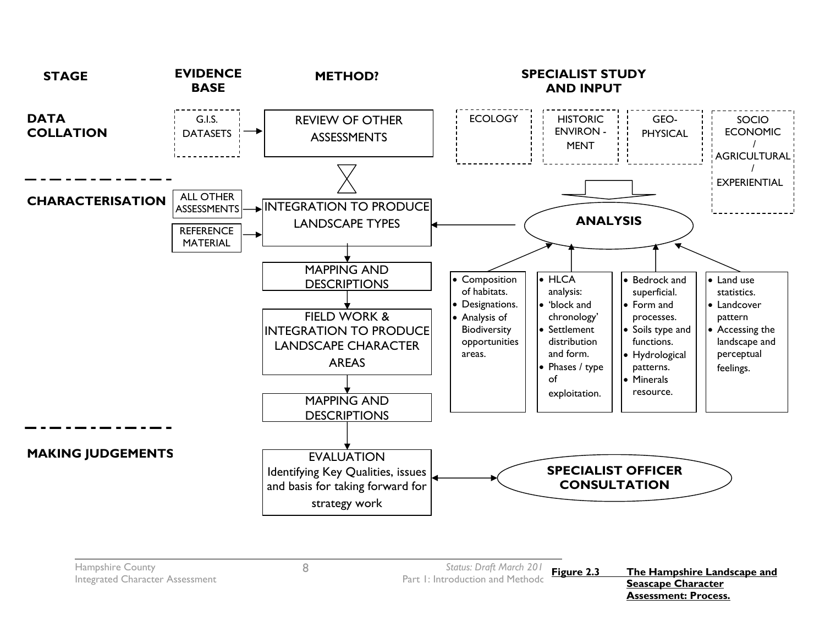

**Assessment: Process.**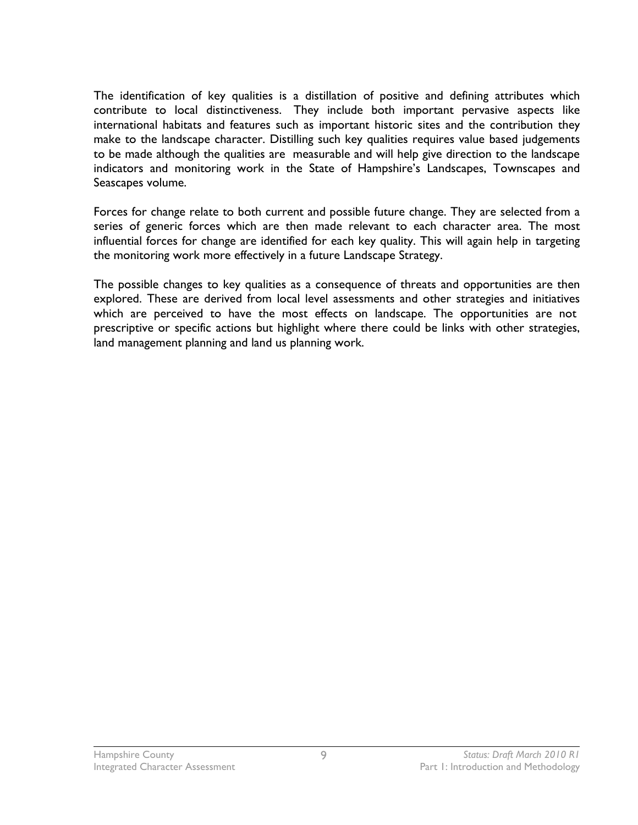The identification of key qualities is a distillation of positive and defining attributes which contribute to local distinctiveness. They include both important pervasive aspects like international habitats and features such as important historic sites and the contribution they make to the landscape character. Distilling such key qualities requires value based judgements to be made although the qualities are measurable and will help give direction to the landscape indicators and monitoring work in the State of Hampshire's Landscapes, Townscapes and Seascapes volume.

Forces for change relate to both current and possible future change. They are selected from a series of generic forces which are then made relevant to each character area. The most influential forces for change are identified for each key quality. This will again help in targeting the monitoring work more effectively in a future Landscape Strategy.

The possible changes to key qualities as a consequence of threats and opportunities are then explored. These are derived from local level assessments and other strategies and initiatives which are perceived to have the most effects on landscape. The opportunities are not prescriptive or specific actions but highlight where there could be links with other strategies, land management planning and land us planning work.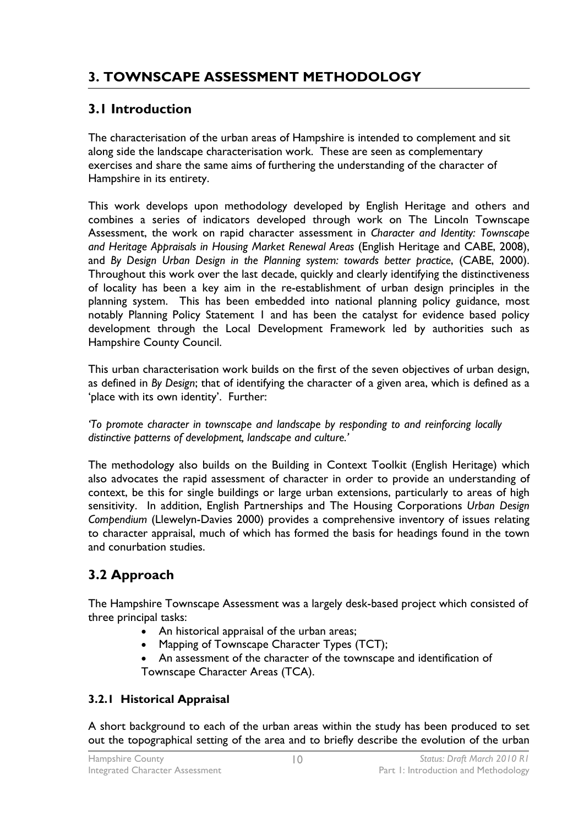## **3. TOWNSCAPE ASSESSMENT METHODOLOGY**

## **3.1 Introduction**

The characterisation of the urban areas of Hampshire is intended to complement and sit along side the landscape characterisation work. These are seen as complementary exercises and share the same aims of furthering the understanding of the character of Hampshire in its entirety.

This work develops upon methodology developed by English Heritage and others and combines a series of indicators developed through work on The Lincoln Townscape Assessment, the work on rapid character assessment in *Character and Identity: Townscape and Heritage Appraisals in Housing Market Renewal Areas* (English Heritage and CABE, 2008), and *By Design Urban Design in the Planning system: towards better practice*, (CABE, 2000). Throughout this work over the last decade, quickly and clearly identifying the distinctiveness of locality has been a key aim in the re-establishment of urban design principles in the planning system. This has been embedded into national planning policy guidance, most notably Planning Policy Statement 1 and has been the catalyst for evidence based policy development through the Local Development Framework led by authorities such as Hampshire County Council.

This urban characterisation work builds on the first of the seven objectives of urban design, as defined in *By Design*; that of identifying the character of a given area, which is defined as a 'place with its own identity'. Further:

*'To promote character in townscape and landscape by responding to and reinforcing locally distinctive patterns of development, landscape and culture.'*

The methodology also builds on the Building in Context Toolkit (English Heritage) which also advocates the rapid assessment of character in order to provide an understanding of context, be this for single buildings or large urban extensions, particularly to areas of high sensitivity. In addition, English Partnerships and The Housing Corporations *Urban Design Compendium* (Llewelyn-Davies 2000) provides a comprehensive inventory of issues relating to character appraisal, much of which has formed the basis for headings found in the town and conurbation studies.

## **3.2 Approach**

The Hampshire Townscape Assessment was a largely desk-based project which consisted of three principal tasks:

- An historical appraisal of the urban areas;
- Mapping of Townscape Character Types (TCT);
- An assessment of the character of the townscape and identification of Townscape Character Areas (TCA).

### **3.2.1 Historical Appraisal**

A short background to each of the urban areas within the study has been produced to set out the topographical setting of the area and to briefly describe the evolution of the urban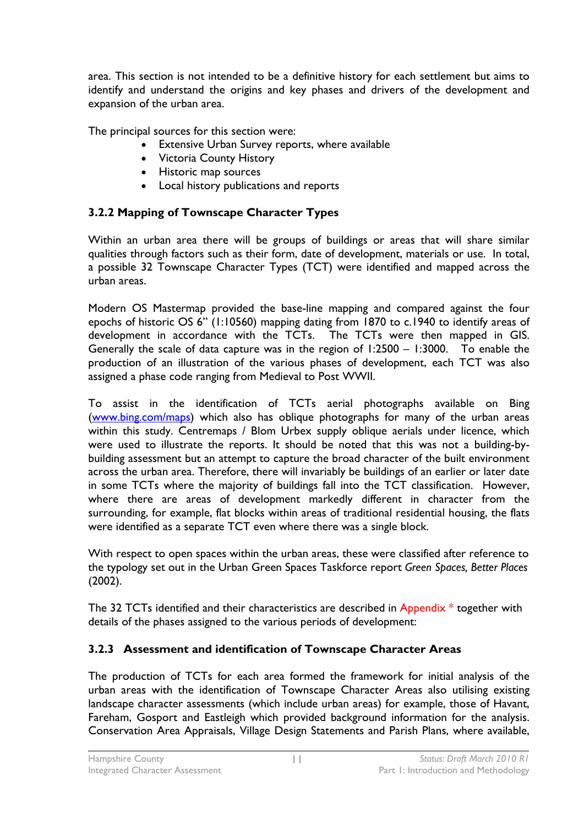area. This section is not intended to be a definitive history for each settlement but aims to identify and understand the origins and key phases and drivers of the development and expansion of the urban area.

The principal sources for this section were:

- Extensive Urban Survey reports, where available
- Victoria County History
- Historic map sources
- Local history publications and reports

### **3.2.2 Mapping of Townscape Character Types**

Within an urban area there will be groups of buildings or areas that will share similar qualities through factors such as their form, date of development, materials or use. In total, a possible 32 Townscape Character Types (TCT) were identified and mapped across the urban areas.

Modern OS Mastermap provided the base-line mapping and compared against the four epochs of historic OS 6" (1:10560) mapping dating from 1870 to c.1940 to identify areas of development in accordance with the TCTs. The TCTs were then mapped in GIS. Generally the scale of data capture was in the region of 1:2500 – 1:3000. To enable the production of an illustration of the various phases of development, each TCT was also assigned a phase code ranging from Medieval to Post WWII.

To assist in the identification of TCTs aerial photographs available on Bing ([www.bing.com/maps](http://www.bing.com/maps)) which also has oblique photographs for many of the urban areas within this study. Centremaps / Blom Urbex supply oblique aerials under licence, which were used to illustrate the reports. It should be noted that this was not a building-bybuilding assessment but an attempt to capture the broad character of the built environment across the urban area. Therefore, there will invariably be buildings of an earlier or later date in some TCTs where the majority of buildings fall into the TCT classification. However, where there are areas of development markedly different in character from the surrounding, for example, flat blocks within areas of traditional residential housing, the flats were identified as a separate TCT even where there was a single block.

With respect to open spaces within the urban areas, these were classified after reference to the typology set out in the Urban Green Spaces Taskforce report *Green Spaces, Better Places*  (2002).

The 32 TCTs identified and their characteristics are described in Appendix  $*$  together with details of the phases assigned to the various periods of development:

### **3.2.3 Assessment and identification of Townscape Character Areas**

The production of TCTs for each area formed the framework for initial analysis of the urban areas with the identification of Townscape Character Areas also utilising existing landscape character assessments (which include urban areas) for example, those of Havant, Fareham, Gosport and Eastleigh which provided background information for the analysis. Conservation Area Appraisals, Village Design Statements and Parish Plans, where available,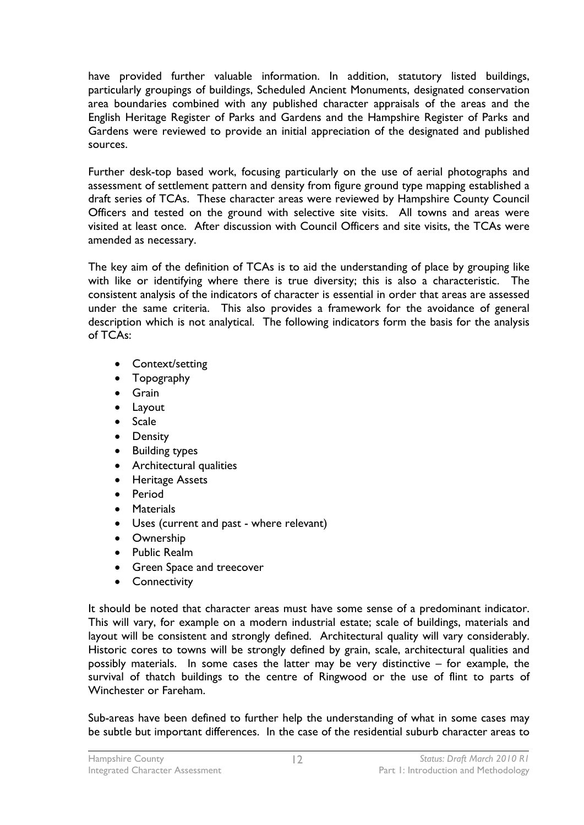have provided further valuable information. In addition, statutory listed buildings, particularly groupings of buildings, Scheduled Ancient Monuments, designated conservation area boundaries combined with any published character appraisals of the areas and the English Heritage Register of Parks and Gardens and the Hampshire Register of Parks and Gardens were reviewed to provide an initial appreciation of the designated and published sources.

Further desk-top based work, focusing particularly on the use of aerial photographs and assessment of settlement pattern and density from figure ground type mapping established a draft series of TCAs. These character areas were reviewed by Hampshire County Council Officers and tested on the ground with selective site visits. All towns and areas were visited at least once. After discussion with Council Officers and site visits, the TCAs were amended as necessary.

The key aim of the definition of TCAs is to aid the understanding of place by grouping like with like or identifying where there is true diversity; this is also a characteristic. The consistent analysis of the indicators of character is essential in order that areas are assessed under the same criteria. This also provides a framework for the avoidance of general description which is not analytical. The following indicators form the basis for the analysis of TCAs:

- Context/setting
- Topography
- **•** Grain
- Layout
- Scale
- Density
- Building types
- Architectural qualities
- **•** Heritage Assets
- Period
- **•** Materials
- Uses (current and past where relevant)
- **•** Ownership
- Public Realm
- **•** Green Space and treecover
- **•** Connectivity

It should be noted that character areas must have some sense of a predominant indicator. This will vary, for example on a modern industrial estate; scale of buildings, materials and layout will be consistent and strongly defined. Architectural quality will vary considerably. Historic cores to towns will be strongly defined by grain, scale, architectural qualities and possibly materials. In some cases the latter may be very distinctive – for example, the survival of thatch buildings to the centre of Ringwood or the use of flint to parts of Winchester or Fareham.

Sub-areas have been defined to further help the understanding of what in some cases may be subtle but important differences. In the case of the residential suburb character areas to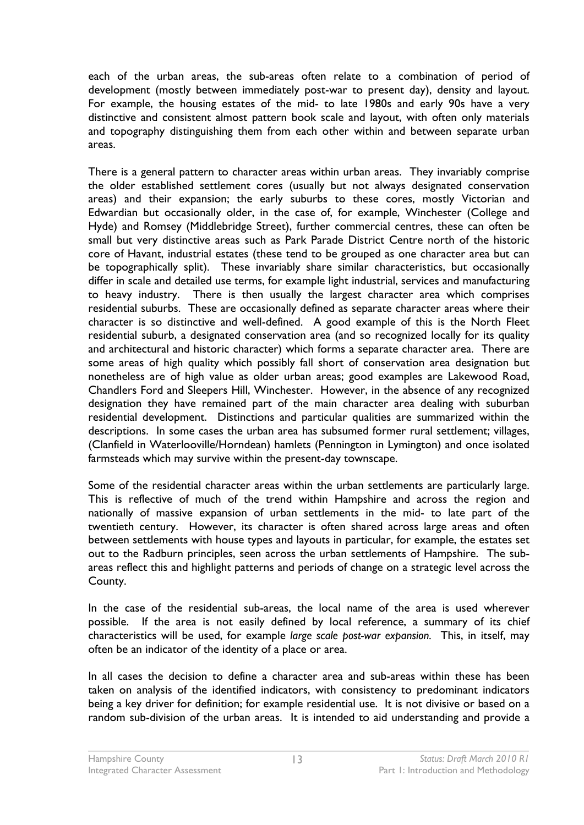each of the urban areas, the sub-areas often relate to a combination of period of development (mostly between immediately post-war to present day), density and layout. For example, the housing estates of the mid- to late 1980s and early 90s have a very distinctive and consistent almost pattern book scale and layout, with often only materials and topography distinguishing them from each other within and between separate urban areas.

There is a general pattern to character areas within urban areas. They invariably comprise the older established settlement cores (usually but not always designated conservation areas) and their expansion; the early suburbs to these cores, mostly Victorian and Edwardian but occasionally older, in the case of, for example, Winchester (College and Hyde) and Romsey (Middlebridge Street), further commercial centres, these can often be small but very distinctive areas such as Park Parade District Centre north of the historic core of Havant, industrial estates (these tend to be grouped as one character area but can be topographically split). These invariably share similar characteristics, but occasionally differ in scale and detailed use terms, for example light industrial, services and manufacturing to heavy industry. There is then usually the largest character area which comprises residential suburbs. These are occasionally defined as separate character areas where their character is so distinctive and well-defined. A good example of this is the North Fleet residential suburb, a designated conservation area (and so recognized locally for its quality and architectural and historic character) which forms a separate character area. There are some areas of high quality which possibly fall short of conservation area designation but nonetheless are of high value as older urban areas; good examples are Lakewood Road, Chandlers Ford and Sleepers Hill, Winchester. However, in the absence of any recognized designation they have remained part of the main character area dealing with suburban residential development. Distinctions and particular qualities are summarized within the descriptions. In some cases the urban area has subsumed former rural settlement; villages, (Clanfield in Waterlooville/Horndean) hamlets (Pennington in Lymington) and once isolated farmsteads which may survive within the present-day townscape.

Some of the residential character areas within the urban settlements are particularly large. This is reflective of much of the trend within Hampshire and across the region and nationally of massive expansion of urban settlements in the mid- to late part of the twentieth century. However, its character is often shared across large areas and often between settlements with house types and layouts in particular, for example, the estates set out to the Radburn principles, seen across the urban settlements of Hampshire. The subareas reflect this and highlight patterns and periods of change on a strategic level across the County.

In the case of the residential sub-areas, the local name of the area is used wherever possible. If the area is not easily defined by local reference, a summary of its chief characteristics will be used, for example *large scale post-war expansion.* This, in itself, may often be an indicator of the identity of a place or area.

In all cases the decision to define a character area and sub-areas within these has been taken on analysis of the identified indicators, with consistency to predominant indicators being a key driver for definition; for example residential use. It is not divisive or based on a random sub-division of the urban areas. It is intended to aid understanding and provide a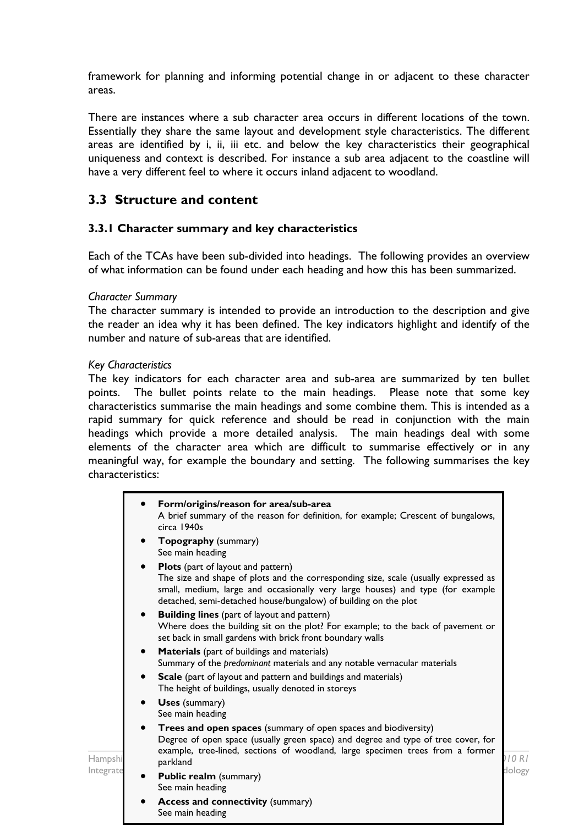framework for planning and informing potential change in or adjacent to these character areas.

There are instances where a sub character area occurs in different locations of the town. Essentially they share the same layout and development style characteristics. The different areas are identified by i, ii, iii etc. and below the key characteristics their geographical uniqueness and context is described. For instance a sub area adjacent to the coastline will have a very different feel to where it occurs inland adjacent to woodland.

### **3.3 Structure and content**

See main heading

### **3.3.1 Character summary and key characteristics**

Each of the TCAs have been sub-divided into headings. The following provides an overview of what information can be found under each heading and how this has been summarized.

#### *Character Summary*

The character summary is intended to provide an introduction to the description and give the reader an idea why it has been defined. The key indicators highlight and identify of the number and nature of sub-areas that are identified.

#### *Key Characteristics*

The key indicators for each character area and sub-area are summarized by ten bullet points. The bullet points relate to the main headings. Please note that some key characteristics summarise the main headings and some combine them. This is intended as a rapid summary for quick reference and should be read in conjunction with the main headings which provide a more detailed analysis. The main headings deal with some elements of the character area which are difficult to summarise effectively or in any meaningful way, for example the boundary and setting. The following summarises the key characteristics:

|           | Form/origins/reason for area/sub-area<br>A brief summary of the reason for definition, for example; Crescent of bungalows,<br>circa 1940s                                                                                                                                                          |        |
|-----------|----------------------------------------------------------------------------------------------------------------------------------------------------------------------------------------------------------------------------------------------------------------------------------------------------|--------|
|           | <b>Topography</b> (summary)<br>$\bullet$<br>See main heading                                                                                                                                                                                                                                       |        |
|           | <b>Plots</b> (part of layout and pattern)<br>$\bullet$<br>The size and shape of plots and the corresponding size, scale (usually expressed as<br>small, medium, large and occasionally very large houses) and type (for example<br>detached, semi-detached house/bungalow) of building on the plot |        |
|           | <b>Building lines</b> (part of layout and pattern)<br>$\bullet$<br>Where does the building sit on the plot? For example; to the back of pavement or<br>set back in small gardens with brick front boundary walls                                                                                   |        |
|           | <b>Materials</b> (part of buildings and materials)<br>$\bullet$<br>Summary of the predominant materials and any notable vernacular materials                                                                                                                                                       |        |
|           | <b>Scale</b> (part of layout and pattern and buildings and materials)<br>$\bullet$<br>The height of buildings, usually denoted in storeys                                                                                                                                                          |        |
|           | <b>Uses</b> (summary)<br>$\bullet$<br>See main heading                                                                                                                                                                                                                                             |        |
| Hampshi   | Trees and open spaces (summary of open spaces and biodiversity)<br>Degree of open space (usually green space) and degree and type of tree cover, for<br>example, tree-lined, sections of woodland, large specimen trees from a former<br>parkland                                                  |        |
| Integrate | <b>Public realm (summary)</b><br>See main heading                                                                                                                                                                                                                                                  | dology |
|           | <b>Access and connectivity (summary)</b>                                                                                                                                                                                                                                                           |        |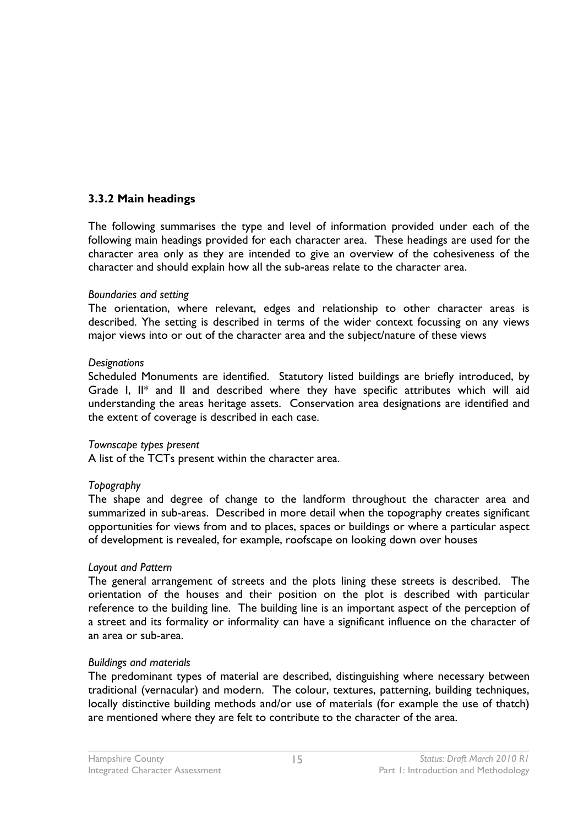### **3.3.2 Main headings**

The following summarises the type and level of information provided under each of the following main headings provided for each character area. These headings are used for the character area only as they are intended to give an overview of the cohesiveness of the character and should explain how all the sub-areas relate to the character area.

#### *Boundaries and setting*

The orientation, where relevant, edges and relationship to other character areas is described. Yhe setting is described in terms of the wider context focussing on any views major views into or out of the character area and the subject/nature of these views

#### *Designations*

Scheduled Monuments are identified. Statutory listed buildings are briefly introduced, by Grade I, II\* and II and described where they have specific attributes which will aid understanding the areas heritage assets. Conservation area designations are identified and the extent of coverage is described in each case.

### *Townscape types present*

A list of the TCTs present within the character area.

### *Topography*

The shape and degree of change to the landform throughout the character area and summarized in sub-areas. Described in more detail when the topography creates significant opportunities for views from and to places, spaces or buildings or where a particular aspect of development is revealed, for example, roofscape on looking down over houses

### *Layout and Pattern*

The general arrangement of streets and the plots lining these streets is described. The orientation of the houses and their position on the plot is described with particular reference to the building line. The building line is an important aspect of the perception of a street and its formality or informality can have a significant influence on the character of an area or sub-area.

### *Buildings and materials*

The predominant types of material are described, distinguishing where necessary between traditional (vernacular) and modern. The colour, textures, patterning, building techniques, locally distinctive building methods and/or use of materials (for example the use of thatch) are mentioned where they are felt to contribute to the character of the area.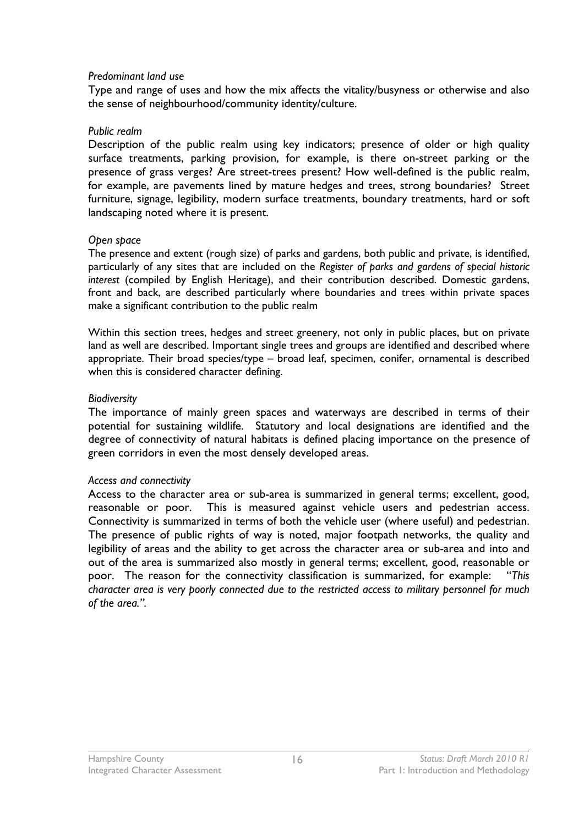#### *Predominant land use*

Type and range of uses and how the mix affects the vitality/busyness or otherwise and also the sense of neighbourhood/community identity/culture.

#### *Public realm*

Description of the public realm using key indicators; presence of older or high quality surface treatments, parking provision, for example, is there on-street parking or the presence of grass verges? Are street-trees present? How well-defined is the public realm, for example, are pavements lined by mature hedges and trees, strong boundaries? Street furniture, signage, legibility, modern surface treatments, boundary treatments, hard or soft landscaping noted where it is present.

#### *Open space*

The presence and extent (rough size) of parks and gardens, both public and private, is identified, particularly of any sites that are included on the *Register of parks and gardens of special historic interest* (compiled by English Heritage), and their contribution described. Domestic gardens, front and back, are described particularly where boundaries and trees within private spaces make a significant contribution to the public realm

Within this section trees, hedges and street greenery, not only in public places, but on private land as well are described. Important single trees and groups are identified and described where appropriate. Their broad species/type – broad leaf, specimen, conifer, ornamental is described when this is considered character defining.

#### *Biodiversity*

The importance of mainly green spaces and waterways are described in terms of their potential for sustaining wildlife. Statutory and local designations are identified and the degree of connectivity of natural habitats is defined placing importance on the presence of green corridors in even the most densely developed areas.

### *Access and connectivity*

Access to the character area or sub-area is summarized in general terms; excellent, good, reasonable or poor. This is measured against vehicle users and pedestrian access. Connectivity is summarized in terms of both the vehicle user (where useful) and pedestrian. The presence of public rights of way is noted, major footpath networks, the quality and legibility of areas and the ability to get across the character area or sub-area and into and out of the area is summarized also mostly in general terms; excellent, good, reasonable or poor. The reason for the connectivity classification is summarized, for example: "*This character area is very poorly connected due to the restricted access to military personnel for much of the area.".*